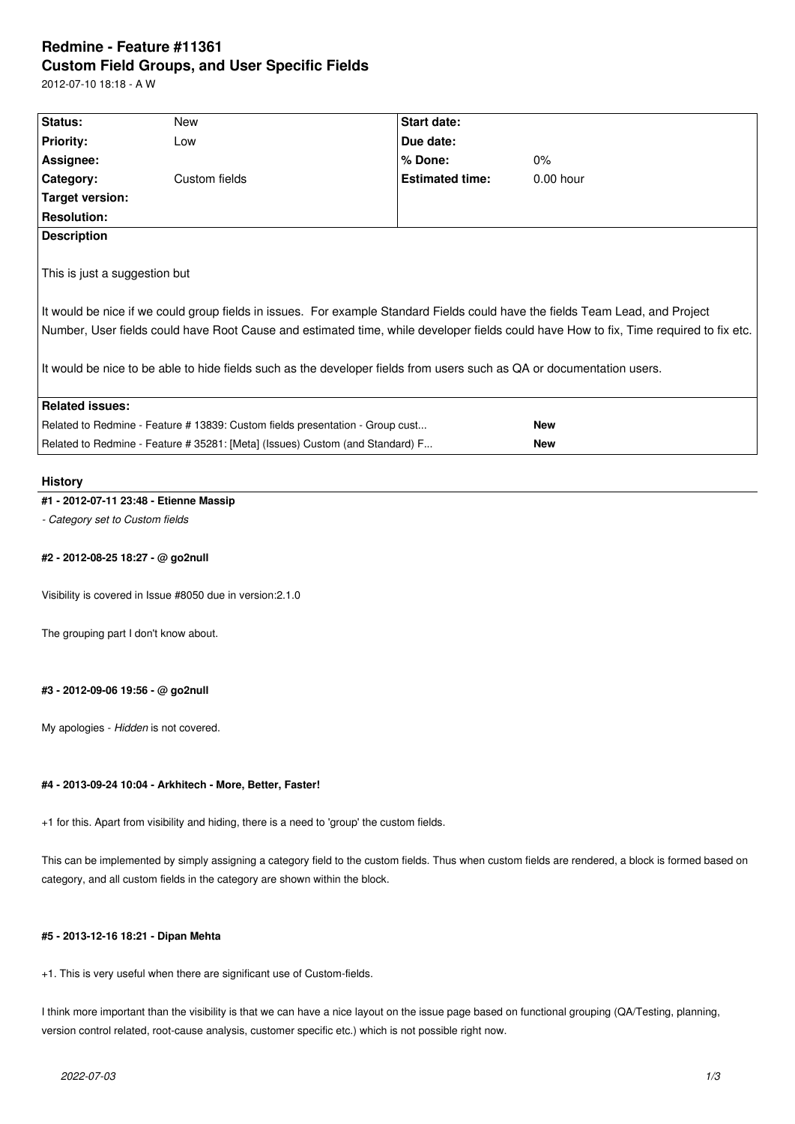# **Redmine - Feature #11361 Custom Field Groups, and User Specific Fields**

2012-07-10 18:18 - A W

| Status:                                                                       | New           | <b>Start date:</b>                                                                                                    |                                                                                                                                                                                                                                                                        |
|-------------------------------------------------------------------------------|---------------|-----------------------------------------------------------------------------------------------------------------------|------------------------------------------------------------------------------------------------------------------------------------------------------------------------------------------------------------------------------------------------------------------------|
| <b>Priority:</b>                                                              | Low           | Due date:                                                                                                             |                                                                                                                                                                                                                                                                        |
| Assignee:                                                                     |               | % Done:                                                                                                               | $0\%$                                                                                                                                                                                                                                                                  |
| Category:                                                                     | Custom fields | <b>Estimated time:</b>                                                                                                | $0.00$ hour                                                                                                                                                                                                                                                            |
| Target version:                                                               |               |                                                                                                                       |                                                                                                                                                                                                                                                                        |
| <b>Resolution:</b>                                                            |               |                                                                                                                       |                                                                                                                                                                                                                                                                        |
| <b>Description</b>                                                            |               |                                                                                                                       |                                                                                                                                                                                                                                                                        |
| This is just a suggestion but                                                 |               | It would be nice to be able to hide fields such as the developer fields from users such as QA or documentation users. | It would be nice if we could group fields in issues. For example Standard Fields could have the fields Team Lead, and Project<br>Number, User fields could have Root Cause and estimated time, while developer fields could have How to fix, Time required to fix etc. |
| <b>Related issues:</b>                                                        |               |                                                                                                                       |                                                                                                                                                                                                                                                                        |
| Related to Redmine - Feature # 13839: Custom fields presentation - Group cust |               |                                                                                                                       | <b>New</b>                                                                                                                                                                                                                                                             |
| Related to Redmine - Feature # 35281: [Meta] (Issues) Custom (and Standard) F |               |                                                                                                                       | <b>New</b>                                                                                                                                                                                                                                                             |
|                                                                               |               |                                                                                                                       |                                                                                                                                                                                                                                                                        |

## **History**

## **#1 - 2012-07-11 23:48 - Etienne Massip**

*- Category set to Custom fields*

#### **#2 - 2012-08-25 18:27 - @ go2null**

Visibility is covered in Issue #8050 due in version:2.1.0

The grouping part I don't know about.

## **#3 - 2012-09-06 19:56 - @ go2null**

My apologies - *Hidden* is not covered.

#### **#4 - 2013-09-24 10:04 - Arkhitech - More, Better, Faster!**

+1 for this. Apart from visibility and hiding, there is a need to 'group' the custom fields.

This can be implemented by simply assigning a category field to the custom fields. Thus when custom fields are rendered, a block is formed based on category, and all custom fields in the category are shown within the block.

#### **#5 - 2013-12-16 18:21 - Dipan Mehta**

+1. This is very useful when there are significant use of Custom-fields.

I think more important than the visibility is that we can have a nice layout on the issue page based on functional grouping (QA/Testing, planning, version control related, root-cause analysis, customer specific etc.) which is not possible right now.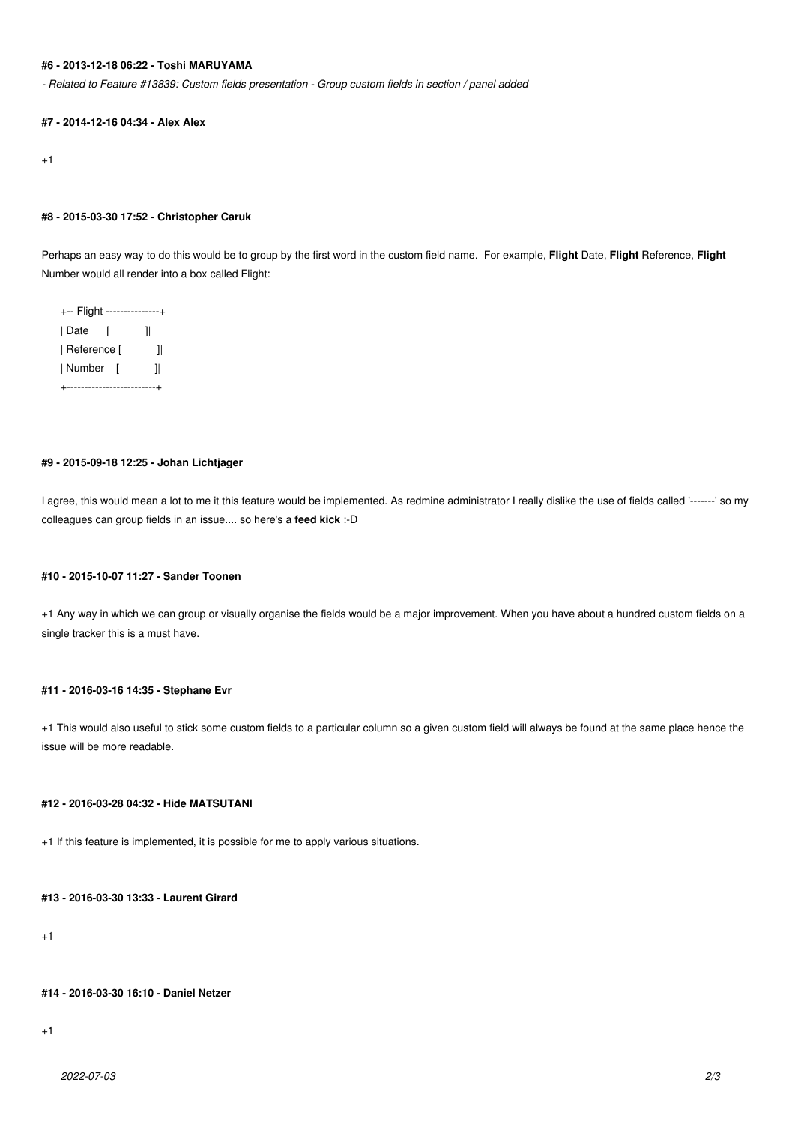## **#6 - 2013-12-18 06:22 - Toshi MARUYAMA**

*- Related to Feature #13839: Custom fields presentation - Group custom fields in section / panel added*

#### **#7 - 2014-12-16 04:34 - Alex Alex**

+1

#### **#8 - 2015-03-30 17:52 - Christopher Caruk**

Perhaps an easy way to do this would be to group by the first word in the custom field name. For example, **Flight** Date, **Flight** Reference, **Flight** Number would all render into a box called Flight:

+-- Flight ---------------+ | Date [ ]| | Reference [ ] | Number [ ]| +-------------------------+

## **#9 - 2015-09-18 12:25 - Johan Lichtjager**

I agree, this would mean a lot to me it this feature would be implemented. As redmine administrator I really dislike the use of fields called '-------' so my colleagues can group fields in an issue.... so here's a **feed kick** :-D

#### **#10 - 2015-10-07 11:27 - Sander Toonen**

+1 Any way in which we can group or visually organise the fields would be a major improvement. When you have about a hundred custom fields on a single tracker this is a must have.

#### **#11 - 2016-03-16 14:35 - Stephane Evr**

+1 This would also useful to stick some custom fields to a particular column so a given custom field will always be found at the same place hence the issue will be more readable.

#### **#12 - 2016-03-28 04:32 - Hide MATSUTANI**

+1 If this feature is implemented, it is possible for me to apply various situations.

## **#13 - 2016-03-30 13:33 - Laurent Girard**

+1

#### **#14 - 2016-03-30 16:10 - Daniel Netzer**

+1